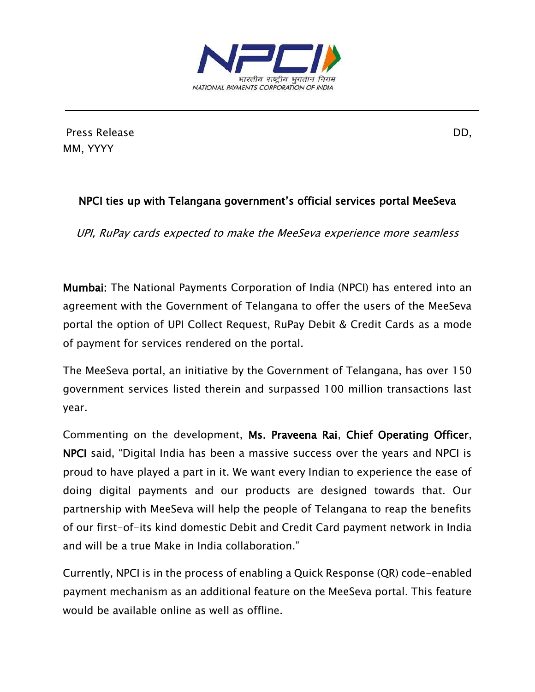

Press Release DD, MM, YYYY

## NPCI ties up with Telangana government's official services portal MeeSeva

UPI, RuPay cards expected to make the MeeSeva experience more seamless

Mumbai: The National Payments Corporation of India (NPCI) has entered into an agreement with the Government of Telangana to offer the users of the MeeSeva portal the option of UPI Collect Request, RuPay Debit & Credit Cards as a mode of payment for services rendered on the portal.

The MeeSeva portal, an initiative by the Government of Telangana, has over 150 government services listed therein and surpassed 100 million transactions last year.

Commenting on the development, Ms. Praveena Rai, Chief Operating Officer, NPCI said, "Digital India has been a massive success over the years and NPCI is proud to have played a part in it. We want every Indian to experience the ease of doing digital payments and our products are designed towards that. Our partnership with MeeSeva will help the people of Telangana to reap the benefits of our first-of-its kind domestic Debit and Credit Card payment network in India and will be a true Make in India collaboration."

Currently, NPCI is in the process of enabling a Quick Response (QR) code-enabled payment mechanism as an additional feature on the MeeSeva portal. This feature would be available online as well as offline.